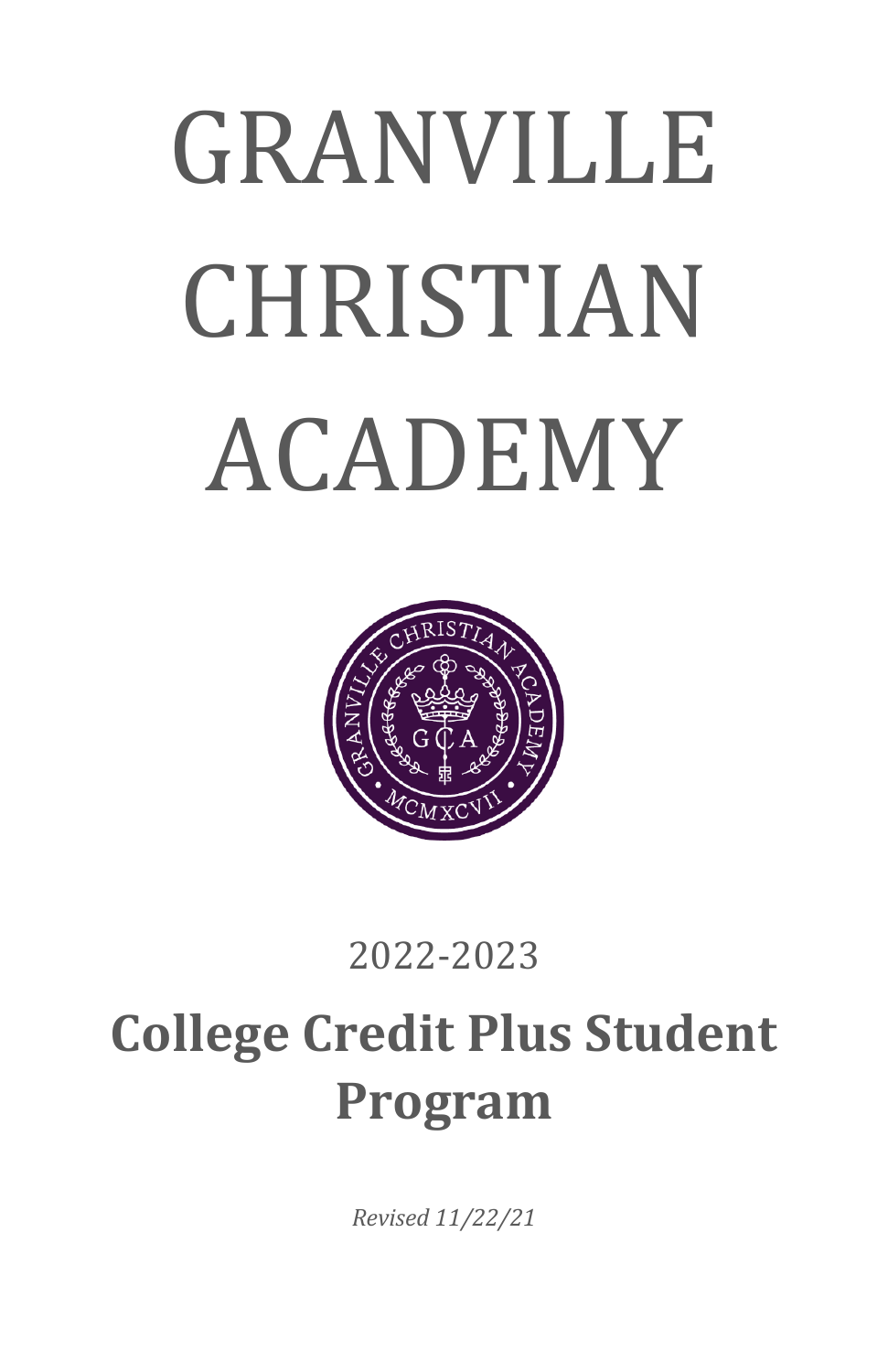# GRANVILLE CHRISTIAN ACADEMY



## 2022-2023

# **College Credit Plus Student Program**

*Revised 11/22/21*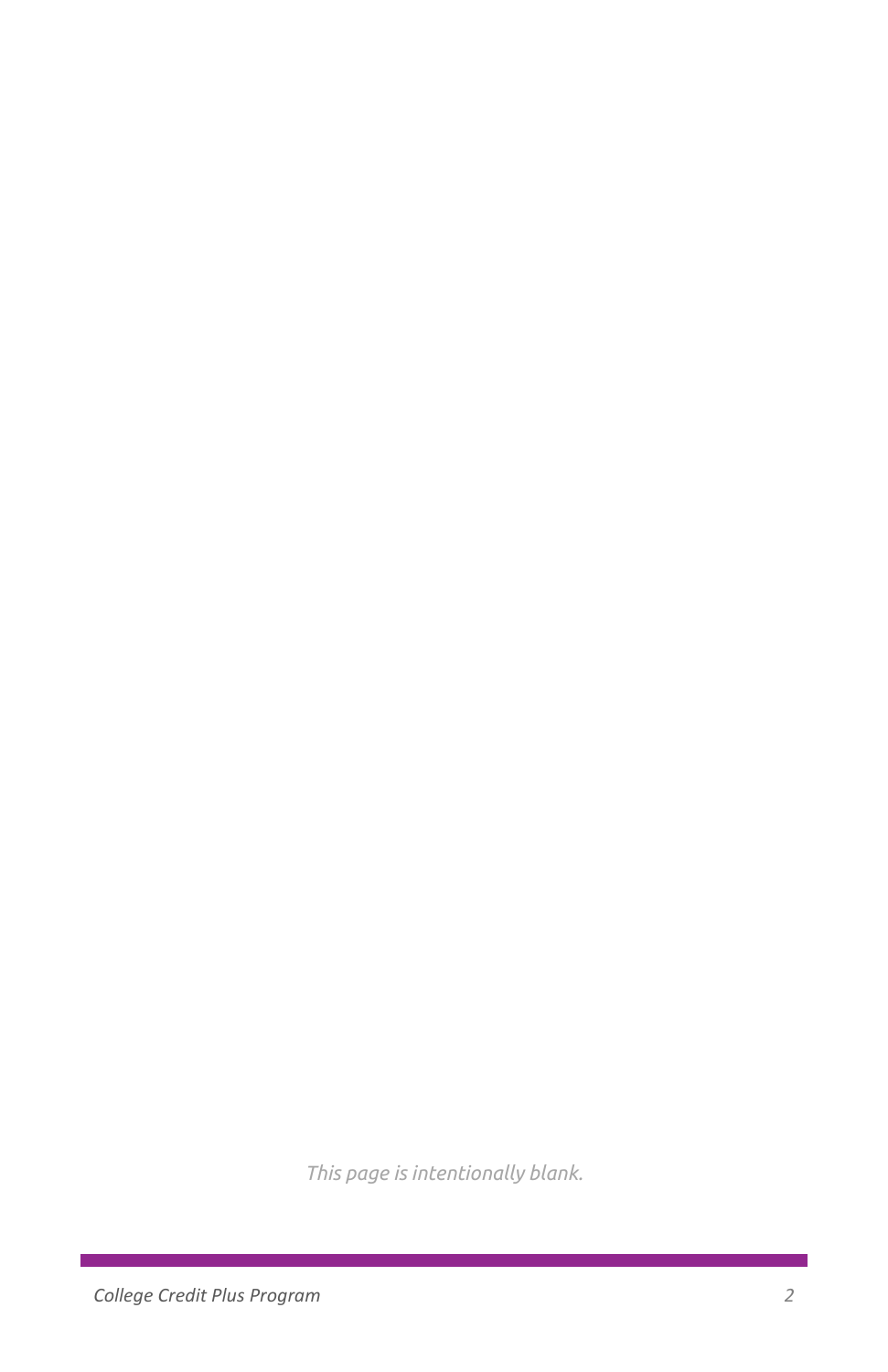*This page is intentionally blank.*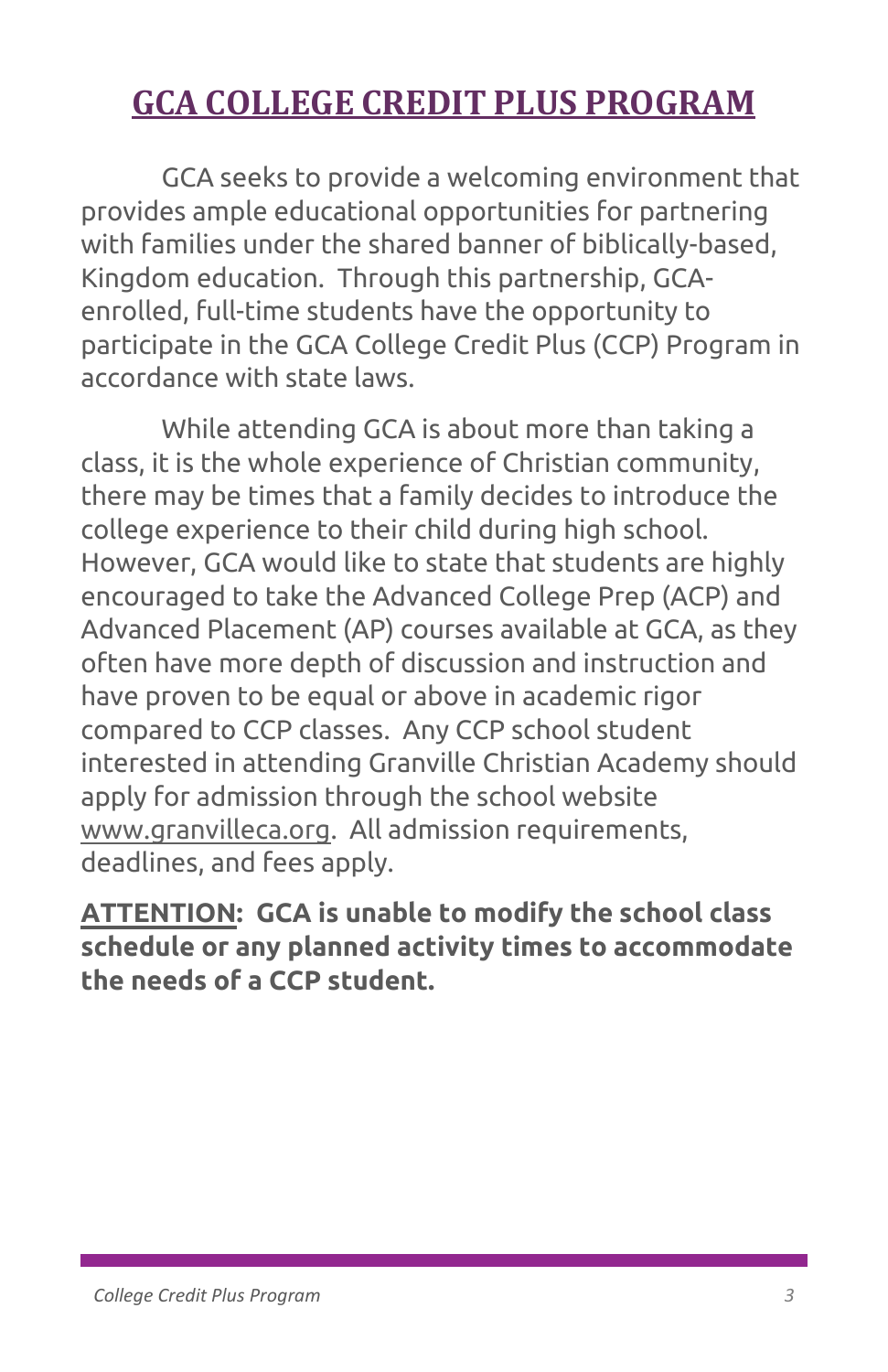### **GCA COLLEGE CREDIT PLUS PROGRAM**

GCA seeks to provide a welcoming environment that provides ample educational opportunities for partnering with families under the shared banner of biblically-based, Kingdom education. Through this partnership, GCAenrolled, full-time students have the opportunity to participate in the GCA College Credit Plus (CCP) Program in accordance with state laws.

While attending GCA is about more than taking a class, it is the whole experience of Christian community, there may be times that a family decides to introduce the college experience to their child during high school. However, GCA would like to state that students are highly encouraged to take the Advanced College Prep (ACP) and Advanced Placement (AP) courses available at GCA, as they often have more depth of discussion and instruction and have proven to be equal or above in academic rigor compared to CCP classes. Any CCP school student interested in attending Granville Christian Academy should apply for admission through the school website [www.granvilleca.org.](http://www.granvilleca.org/) All admission requirements, deadlines, and fees apply.

**ATTENTION: GCA is unable to modify the school class schedule or any planned activity times to accommodate the needs of a CCP student.**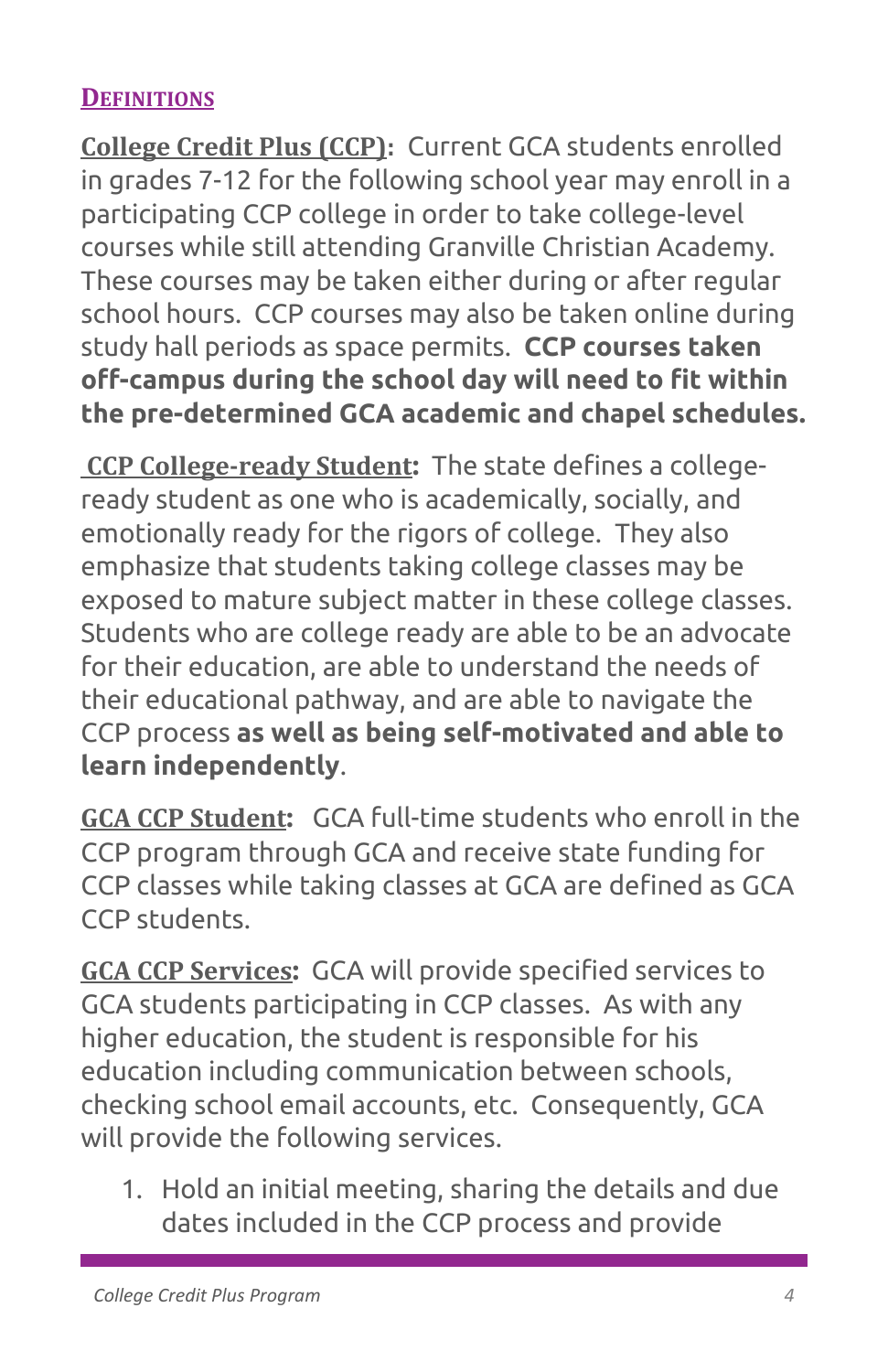#### **DEFINITIONS**

**College Credit Plus (CCP):** Current GCA students enrolled in grades 7-12 for the following school year may enroll in a participating CCP college in order to take college-level courses while still attending Granville Christian Academy. These courses may be taken either during or after regular school hours. CCP courses may also be taken online during study hall periods as space permits. **CCP courses taken off-campus during the school day will need to fit within the pre-determined GCA academic and chapel schedules.**

**CCP College-ready Student:** The state defines a collegeready student as one who is academically, socially, and emotionally ready for the rigors of college. They also emphasize that students taking college classes may be exposed to mature subject matter in these college classes. Students who are college ready are able to be an advocate for their education, are able to understand the needs of their educational pathway, and are able to navigate the CCP process **as well as being self-motivated and able to learn independently**.

**GCA CCP Student:** GCA full-time students who enroll in the CCP program through GCA and receive state funding for CCP classes while taking classes at GCA are defined as GCA CCP students.

**GCA CCP Services:** GCA will provide specified services to GCA students participating in CCP classes. As with any higher education, the student is responsible for his education including communication between schools, checking school email accounts, etc. Consequently, GCA will provide the following services.

1. Hold an initial meeting, sharing the details and due dates included in the CCP process and provide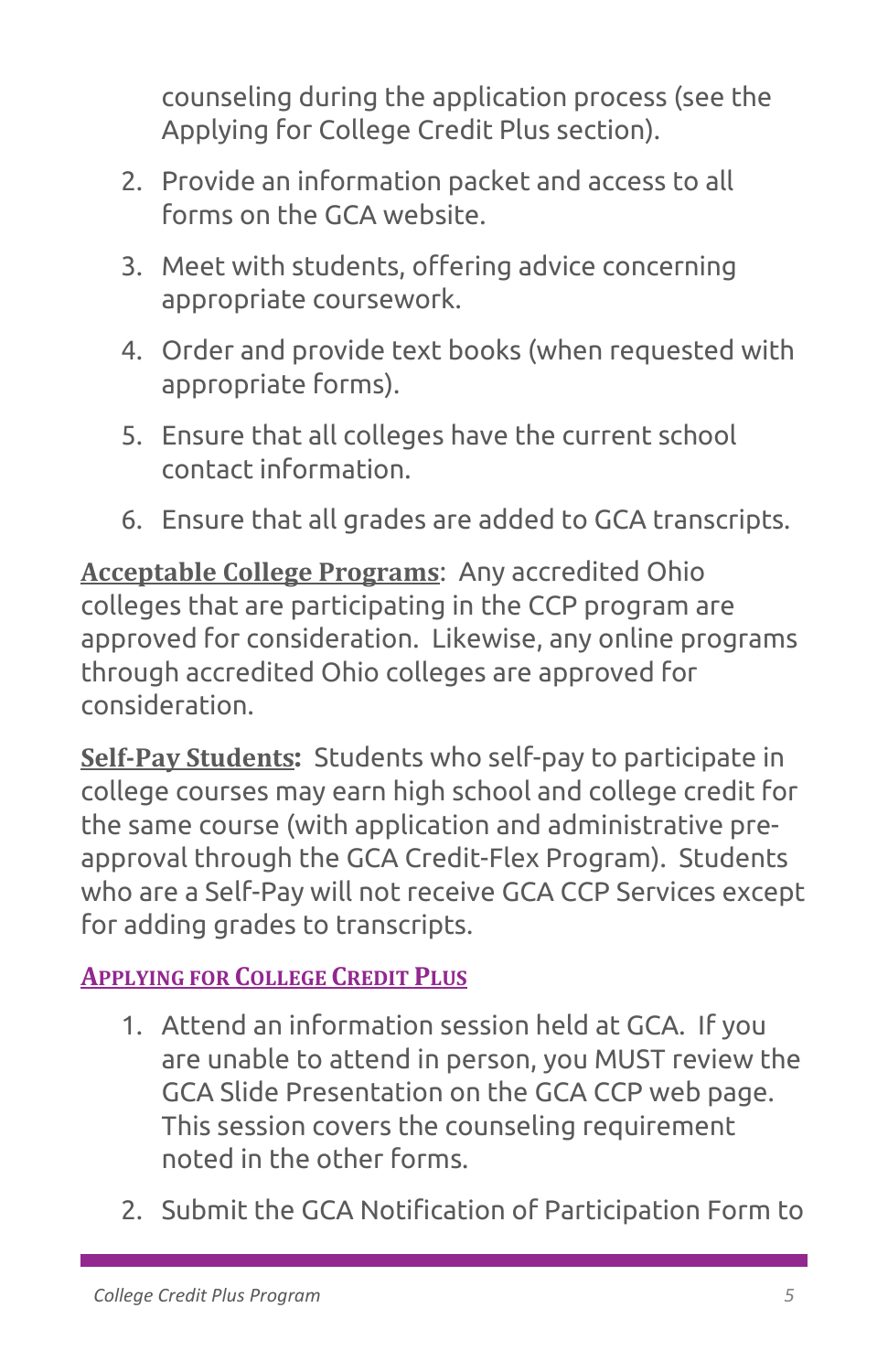counseling during the application process (see the Applying for College Credit Plus section).

- 2. Provide an information packet and access to all forms on the GCA website.
- 3. Meet with students, offering advice concerning appropriate coursework.
- 4. Order and provide text books (when requested with appropriate forms).
- 5. Ensure that all colleges have the current school contact information.
- 6. Ensure that all grades are added to GCA transcripts.

**Acceptable College Programs**: Any accredited Ohio colleges that are participating in the CCP program are approved for consideration. Likewise, any online programs through accredited Ohio colleges are approved for consideration.

**Self-Pay Students:** Students who self-pay to participate in college courses may earn high school and college credit for the same course (with application and administrative preapproval through the GCA Credit-Flex Program). Students who are a Self-Pay will not receive GCA CCP Services except for adding grades to transcripts.

#### **APPLYING FOR COLLEGE CREDIT PLUS**

- 1. Attend an information session held at GCA. If you are unable to attend in person, you MUST review the GCA Slide Presentation on the GCA CCP web page. This session covers the counseling requirement noted in the other forms.
- 2. Submit the GCA Notification of Participation Form to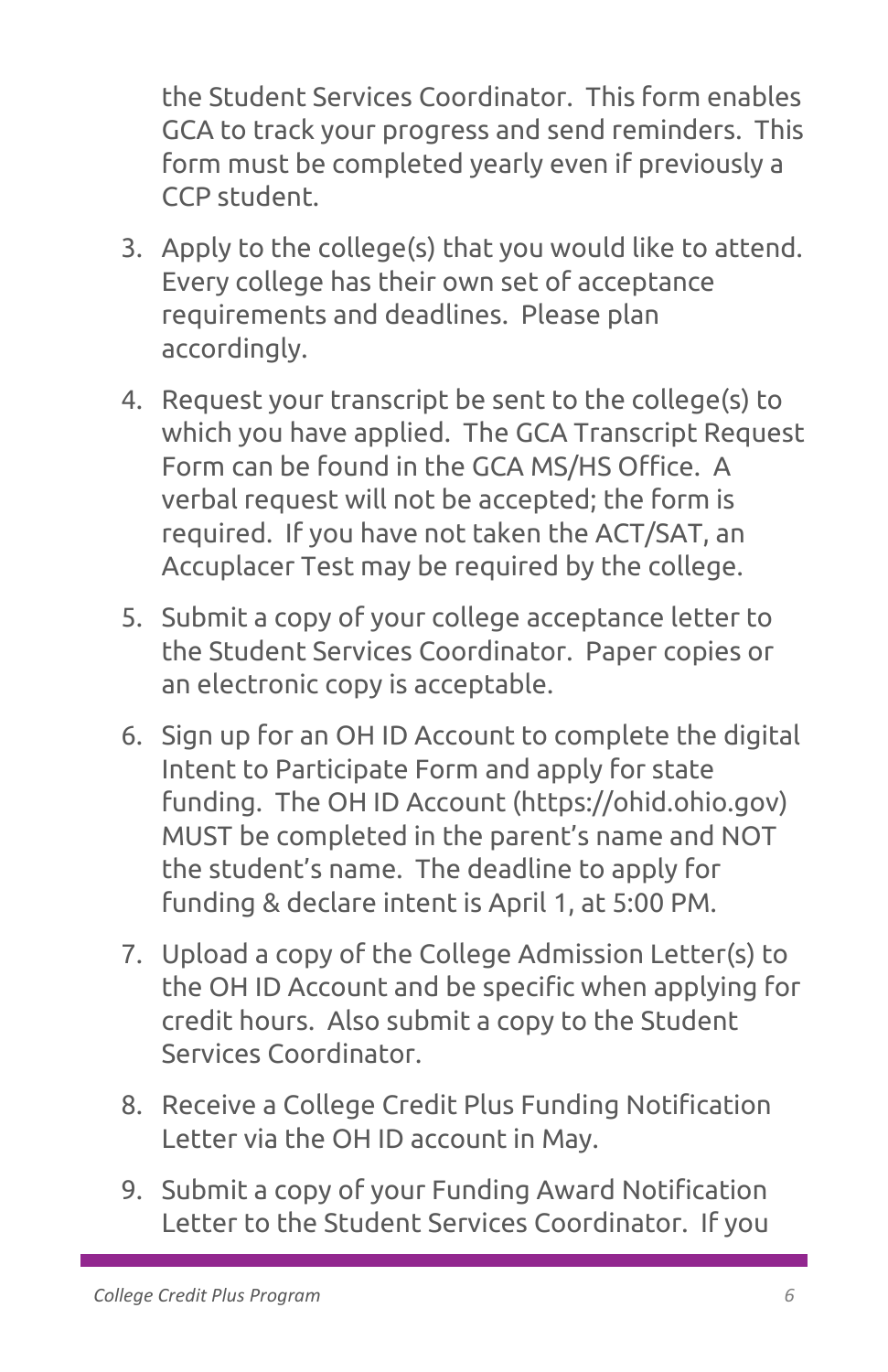the Student Services Coordinator. This form enables GCA to track your progress and send reminders. This form must be completed yearly even if previously a CCP student.

- 3. Apply to the college(s) that you would like to attend. Every college has their own set of acceptance requirements and deadlines. Please plan accordingly.
- 4. Request your transcript be sent to the college(s) to which you have applied. The GCA Transcript Request Form can be found in the GCA MS/HS Office. A verbal request will not be accepted; the form is required. If you have not taken the ACT/SAT, an Accuplacer Test may be required by the college.
- 5. Submit a copy of your college acceptance letter to the Student Services Coordinator. Paper copies or an electronic copy is acceptable.
- 6. Sign up for an OH ID Account to complete the digital Intent to Participate Form and apply for state funding. The OH ID Account (https://ohid.ohio.gov) MUST be completed in the parent's name and NOT the student's name. The deadline to apply for funding & declare intent is April 1, at 5:00 PM.
- 7. Upload a copy of the College Admission Letter(s) to the OH ID Account and be specific when applying for credit hours. Also submit a copy to the Student Services Coordinator.
- 8. Receive a College Credit Plus Funding Notification Letter via the OH ID account in May.
- 9. Submit a copy of your Funding Award Notification Letter to the Student Services Coordinator. If you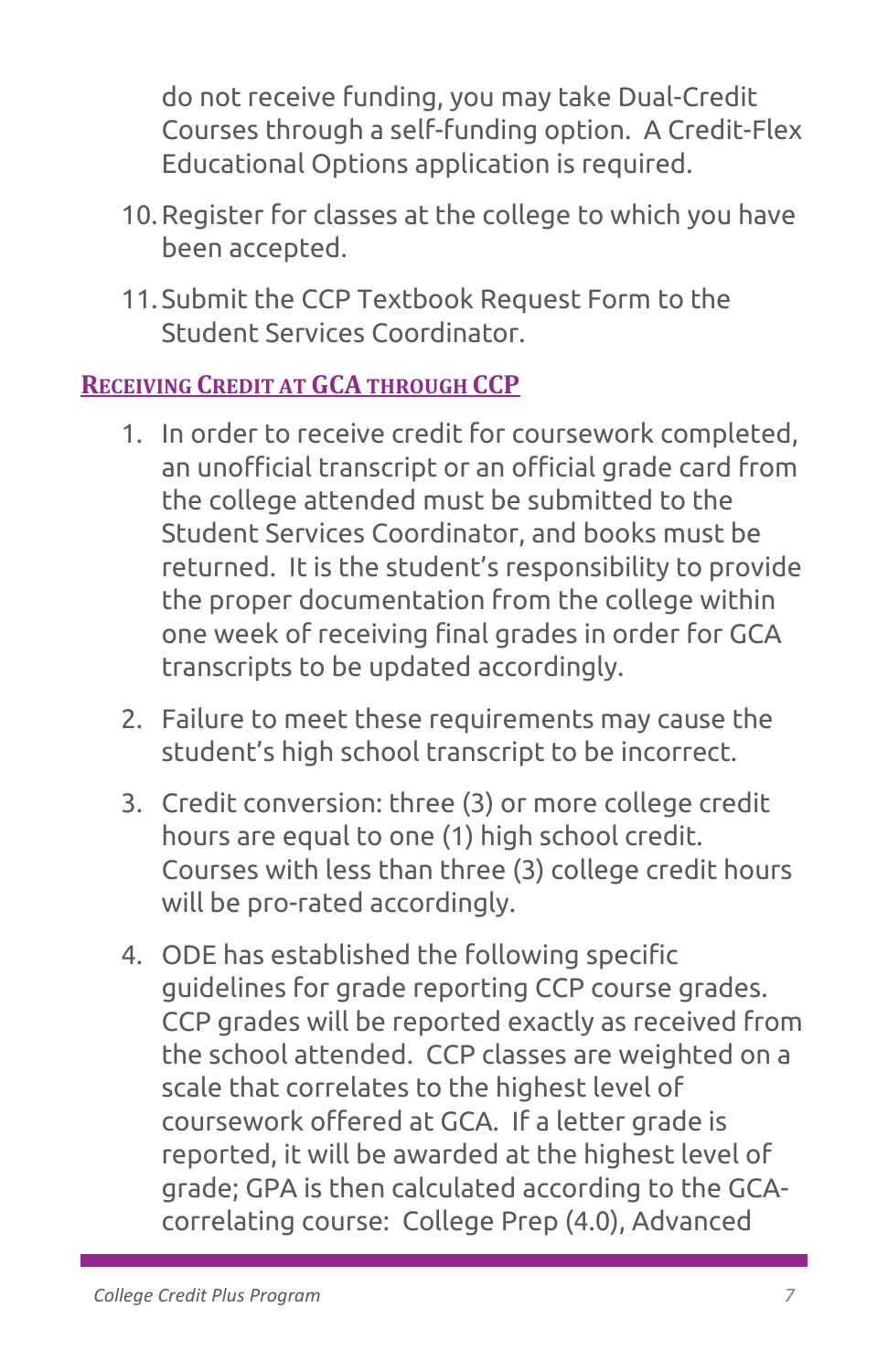do not receive funding, you may take Dual-Credit Courses through a self-funding option. A Credit-Flex Educational Options application is required.

- 10.Register for classes at the college to which you have been accepted.
- 11. Submit the CCP Textbook Request Form to the Student Services Coordinator.

#### **RECEIVING CREDIT AT GCA THROUGH CCP**

- 1. In order to receive credit for coursework completed, an unofficial transcript or an official grade card from the college attended must be submitted to the Student Services Coordinator, and books must be returned. It is the student's responsibility to provide the proper documentation from the college within one week of receiving final grades in order for GCA transcripts to be updated accordingly.
- 2. Failure to meet these requirements may cause the student's high school transcript to be incorrect.
- 3. Credit conversion: three (3) or more college credit hours are equal to one (1) high school credit. Courses with less than three (3) college credit hours will be pro-rated accordingly.
- 4. ODE has established the following specific guidelines for grade reporting CCP course grades. CCP grades will be reported exactly as received from the school attended. CCP classes are weighted on a scale that correlates to the highest level of coursework offered at GCA. If a letter grade is reported, it will be awarded at the highest level of grade; GPA is then calculated according to the GCAcorrelating course: College Prep (4.0), Advanced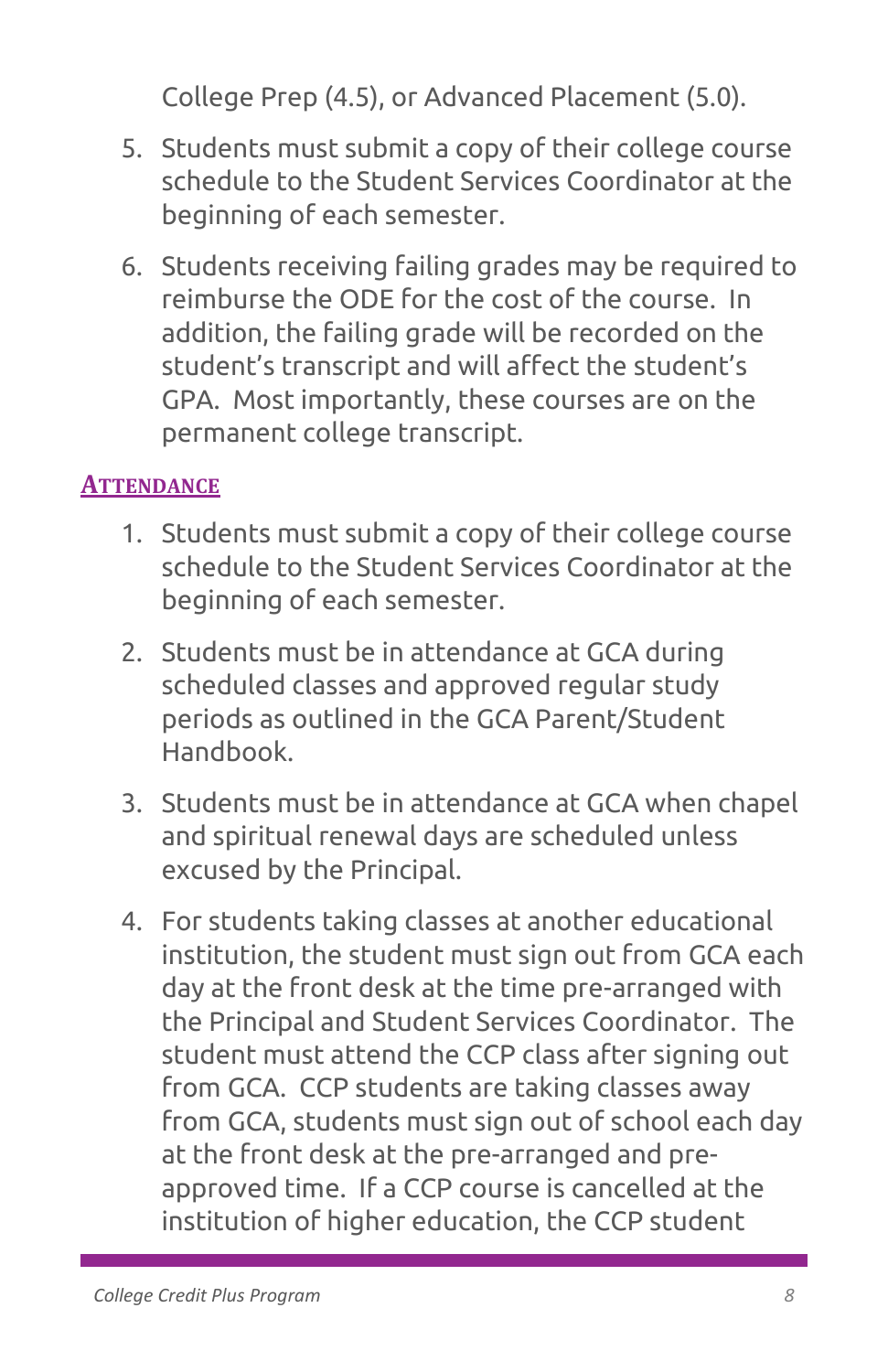College Prep (4.5), or Advanced Placement (5.0).

- 5. Students must submit a copy of their college course schedule to the Student Services Coordinator at the beginning of each semester.
- 6. Students receiving failing grades may be required to reimburse the ODE for the cost of the course. In addition, the failing grade will be recorded on the student's transcript and will affect the student's GPA. Most importantly, these courses are on the permanent college transcript.

#### **ATTENDANCE**

- 1. Students must submit a copy of their college course schedule to the Student Services Coordinator at the beginning of each semester.
- 2. Students must be in attendance at GCA during scheduled classes and approved regular study periods as outlined in the GCA Parent/Student Handbook.
- 3. Students must be in attendance at GCA when chapel and spiritual renewal days are scheduled unless excused by the Principal.
- 4. For students taking classes at another educational institution, the student must sign out from GCA each day at the front desk at the time pre-arranged with the Principal and Student Services Coordinator. The student must attend the CCP class after signing out from GCA. CCP students are taking classes away from GCA, students must sign out of school each day at the front desk at the pre-arranged and preapproved time. If a CCP course is cancelled at the institution of higher education, the CCP student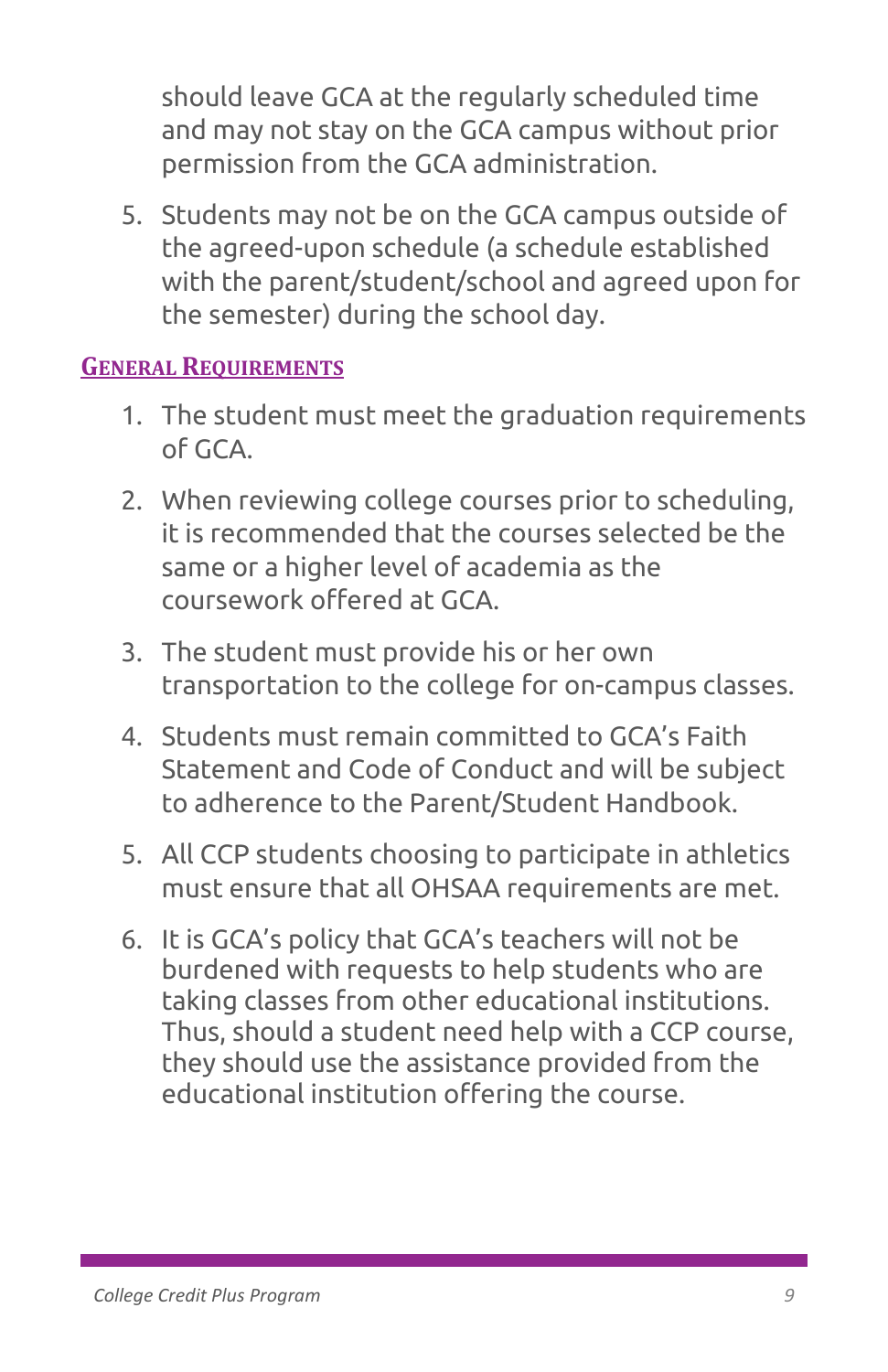should leave GCA at the regularly scheduled time and may not stay on the GCA campus without prior permission from the GCA administration.

5. Students may not be on the GCA campus outside of the agreed-upon schedule (a schedule established with the parent/student/school and agreed upon for the semester) during the school day.

#### **GENERAL REQUIREMENTS**

- 1. The student must meet the graduation requirements of GCA.
- 2. When reviewing college courses prior to scheduling, it is recommended that the courses selected be the same or a higher level of academia as the coursework offered at GCA.
- 3. The student must provide his or her own transportation to the college for on-campus classes.
- 4. Students must remain committed to GCA's Faith Statement and Code of Conduct and will be subject to adherence to the Parent/Student Handbook.
- 5. All CCP students choosing to participate in athletics must ensure that all OHSAA requirements are met.
- 6. It is GCA's policy that GCA's teachers will not be burdened with requests to help students who are taking classes from other educational institutions. Thus, should a student need help with a CCP course, they should use the assistance provided from the educational institution offering the course.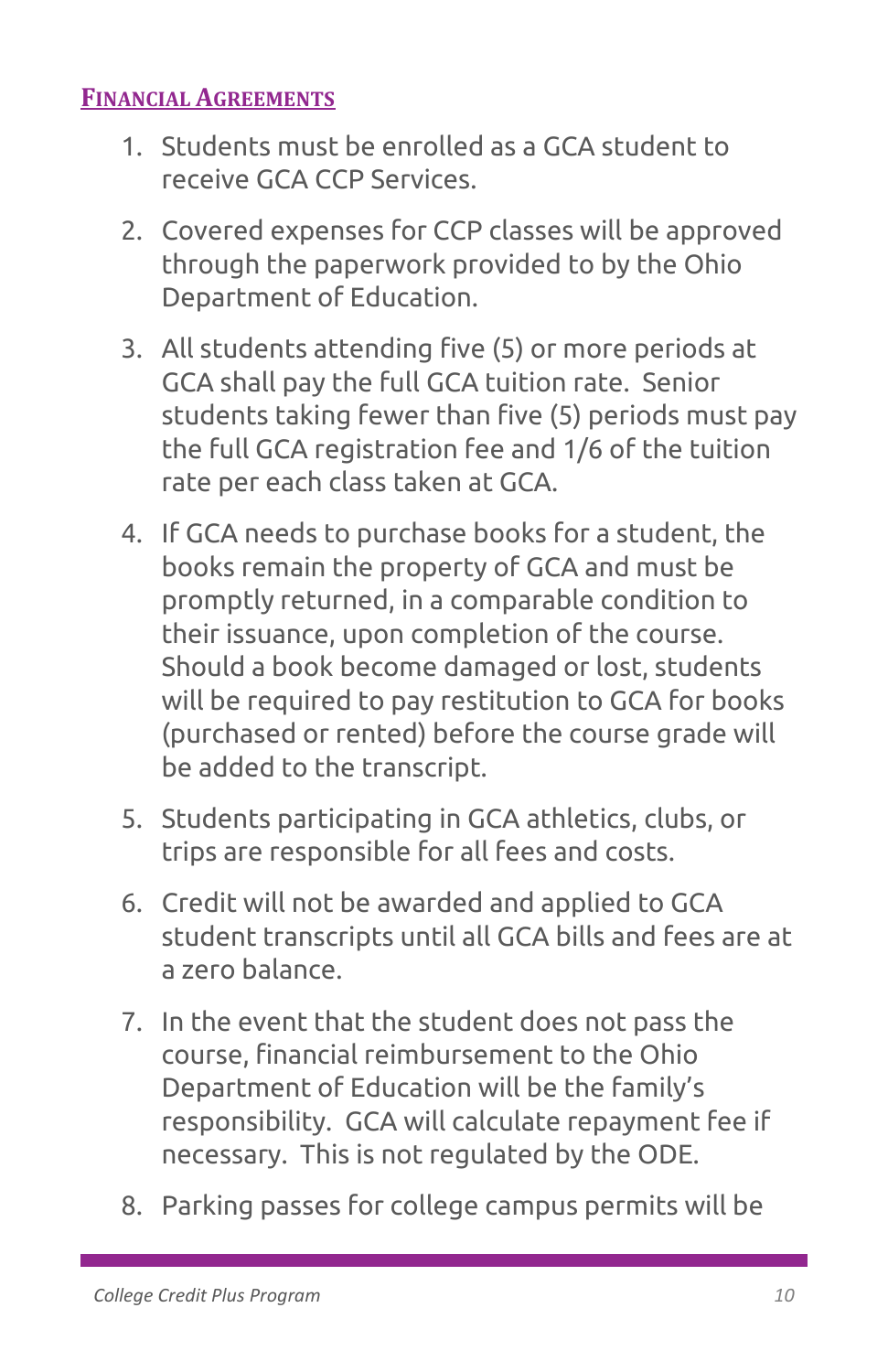#### **FINANCIAL AGREEMENTS**

- 1. Students must be enrolled as a GCA student to receive GCA CCP Services.
- 2. Covered expenses for CCP classes will be approved through the paperwork provided to by the Ohio Department of Education.
- 3. All students attending five (5) or more periods at GCA shall pay the full GCA tuition rate. Senior students taking fewer than five (5) periods must pay the full GCA registration fee and 1/6 of the tuition rate per each class taken at GCA.
- 4. If GCA needs to purchase books for a student, the books remain the property of GCA and must be promptly returned, in a comparable condition to their issuance, upon completion of the course. Should a book become damaged or lost, students will be required to pay restitution to GCA for books (purchased or rented) before the course grade will be added to the transcript.
- 5. Students participating in GCA athletics, clubs, or trips are responsible for all fees and costs.
- 6. Credit will not be awarded and applied to GCA student transcripts until all GCA bills and fees are at a zero balance.
- 7. In the event that the student does not pass the course, financial reimbursement to the Ohio Department of Education will be the family's responsibility. GCA will calculate repayment fee if necessary. This is not regulated by the ODE.
- 8. Parking passes for college campus permits will be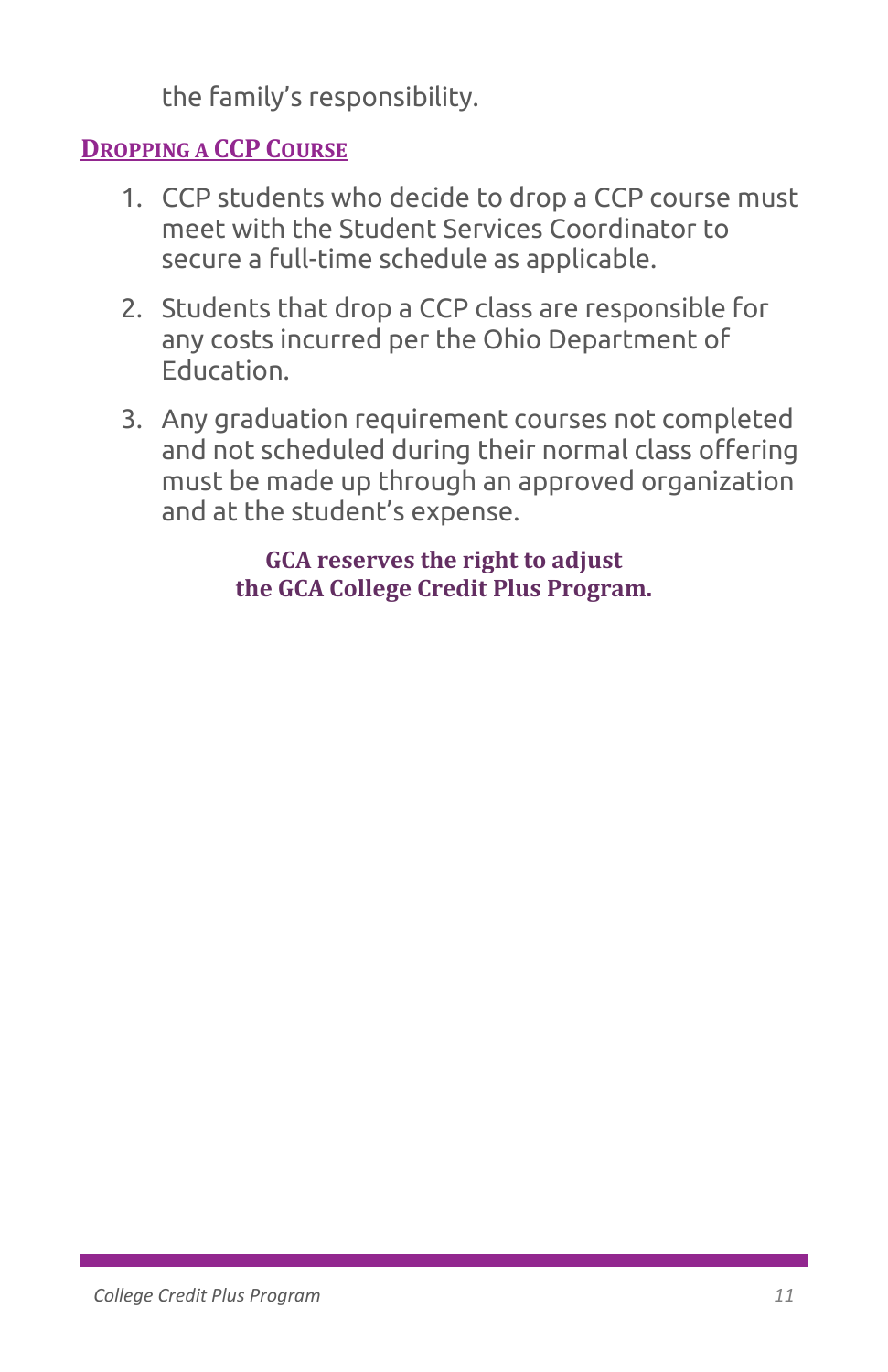the family's responsibility.

#### **DROPPING A CCP COURSE**

- 1. CCP students who decide to drop a CCP course must meet with the Student Services Coordinator to secure a full-time schedule as applicable.
- 2. Students that drop a CCP class are responsible for any costs incurred per the Ohio Department of Education.
- 3. Any graduation requirement courses not completed and not scheduled during their normal class offering must be made up through an approved organization and at the student's expense.

**GCA reserves the right to adjust the GCA College Credit Plus Program.**